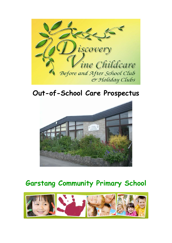

# **Out-of-School Care Prospectus**



# **Garstang Community Primary School**

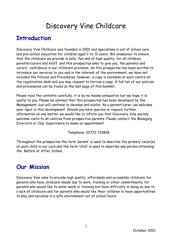# Discovery Vine Childcare

# **Introduction**

Discovery Vine Childcare was founded in 2001 and specialises in out of school care and pre-school education for children aged 2 to 12 years. We endeavour to ensure that the childcare we provide is safe, fun and of high quality, for all children, parents/carers and staff, and this prospectus aims to give you, the parents and carers', confidence in our childcare provision. As this prospectus has been written to introduce our services to you and in the interest of the environment, we have not included the Policies and Procedures, however, a copy is available at each centre on the registration desk and you may request to borrow a copy. A full list of our policies and procedures can be found on the last page of this booklet.

Please read the contents carefully, it is by no means exhaustive but we hope it is useful to you. Please be advised that this prospectus has been developed by the Management, but will continue to develop and evolve. As a parent/carer, we welcome your input in this development. Should you have queries or require further information on any matter we would like to inform you that Discovery Vine warmly welcome visits to all centres from prospective parents. Please contact the Managing Directors or Club Supervisors to make an appointment.

Telephone: 01772 731808

Throughout the prospectus the term 'parent' is used to describe the primary carer(s) of each child in our care and the term 'child' is used to describe any person attending the Before or After School.

# **Our Mission**

Discovery Vine aims to provide high quality, affordable and accessible childcare for parents who have childcare needs due to work, training or other commitments; for parents who would like to enter work or training but have difficulty in doing so due to a lack of childcare and for parents who would like their children to have opportunities to play and socialise in a safe environment out of school hours.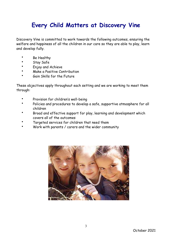# **Every Child Matters at Discovery Vine**

Discovery Vine is committed to work towards the following outcomes, ensuring the welfare and happiness of all the children in our care so they are able to play, learn and develop fully.

- Be Healthy
- Stay Safe
- Enjoy and Achieve
- Make a Positive Contribution
- Gain Skills for the Future

These objectives apply throughout each setting and we are working to meet them through:

- Provision for children's well-being
- Policies and procedures to develop a safe, supportive atmosphere for all children
- Broad and effective support for play, learning and development which covers all of the outcomes
- Targeted services for children that need them
- Work with parents / carers and the wider community

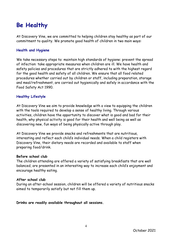# **Be Healthy**

At Discovery Vine, we are committed to helping children stay healthy as part of our commitment to quality. We promote good health of children in two main ways:

#### **Health and Hygiene**

We take necessary steps to: maintain high standards of hygiene: prevent the spread of infection: take appropriate measures when children are ill. We have health and safety policies and procedures that are strictly adhered to with the highest regard for the good health and safety of all children. We ensure that all food related procedures whether carried out by children or staff, including preparation, storage and meal/refreshment, are carried out hygienically and safely in accordance with the Food Safety Act 1990.

#### **Healthy Lifestyle**

At Discovery Vine we aim to provide knowledge with a view to equipping the children with the tools required to develop a sense of healthy living. Through various activities, children have the opportunity to discover what is good and bad for their health, why physical activity is good for their health and well being as well as discovering new, fun ways of being physically active through play.

At Discovery Vine we provide snacks and refreshments that are nutritious, interesting and reflect each child's individual needs. When a child registers with Discovery Vine, their dietary needs are recorded and available to staff when preparing food/drink.

#### **Before school club**

The children attending are offered a variety of satisfying breakfasts that are well balanced, are presented in an interesting way to increase each child's enjoyment and encourage healthy eating.

#### **After school club**

During an after-school session, children will be offered a variety of nutritious snacks aimed to temporarily satisfy but not fill them up.

**Drinks are readily available throughout all sessions.**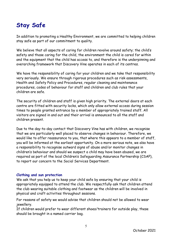# **Stay Safe**

In addition to promoting a Healthy Environment, we are committed to helping children stay safe as part of our commitment to quality.

We believe that all aspects of caring for children revolve around safety; the child's safety and those caring for the child, the environment the child is cared for within and the equipment that the child has access to, and therefore is the underpinning and overarching framework that Discovery Vine operates in each of its centres.

We have the responsibility of caring for your children and we take that responsibility very seriously. We ensure through rigorous procedures such as risk assessments, Health and Safety Policy and Procedures, regular cleaning and maintenance procedures, codes of behaviour for staff and children and club rules that your children are safe.

The security of children and staff is given high priority. The external doors at each centre are fitted with security locks, which only allow external access during session times to people granted entrance by a member of appropriately trained staff. All visitors are signed in and out and their arrival is announced to all the staff and children present.

Due to the day-to-day contact that Discovery Vine has with children, we recognise that we are particularly well placed to observe changes in behaviour. Therefore, we would like to offer reassurance to you, that where this appears to a member of staff, you will be informed at the earliest opportunity. On a more serious note, we also have a responsibility to recognise outward signs of abuse and/or monitor changes in children's behaviour and should we suspect a child may have been abused, we are required as part of the local Children's Safeguarding Assurance Partnership (CSAP), to report our concern to the Social Services Department.

#### **Clothing and sun protection**

We ask that you help us to keep your child safe by ensuring that your child is appropriately equipped to attend the club. We respectfully ask that children attend the club wearing suitable clothing and footwear as the children will be involved in physical and craft activities throughout sessions.

For reasons of safety we would advise that children should not be allowed to wear jewellery.

If children would prefer to wear different shoes/trainers for outside play, these should be brought in a named carrier bag.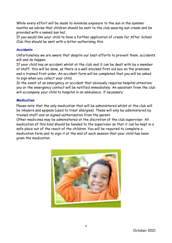While every effort will be made to minimise exposure to the sun in the summer months we advise that children should be sent to the club wearing sun cream and be provided with a named sun hat.

If you would like your child to have a further application of cream for After School Club this should be sent with a letter authorising this.

### **Accidents**

Unfortunately we are aware that despite our best efforts to prevent them, accidents will and do happen.

If your child has an accident whilst at the club and it can be dealt with by a member of staff, this will be done, as there is a well-stocked first aid box on the premises and a trained first-aider. An accident form will be completed that you will be asked to sign when you collect your child.

In the event of an emergency or accident that obviously requires hospital attention; you or the emergency contact will be notified immediately. An assistant from the club will accompany your child to hospital in an ambulance, if necessary.

#### **Medication**

Please note that the only medication that will be administered whilst at the club will be inhalers and epipens (used to treat allergies). These will only be administered by trained staff and on signed authorisation from the parent.

Other medicines may be administered at the discretion of the club supervisor. All medication of this kind should be handed to the supervisor so that it can be kept in a safe place out of the reach of the children. You will be required to complete a medication form and to sign it at the end of each session that your child has been given the medication.

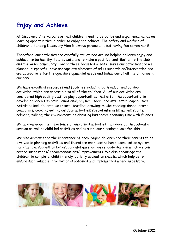# **Enjoy and Achieve**

At Discovery Vine we believe that children need to be active and experience hands on learning opportunities in order to enjoy and achieve. The safety and welfare of children attending Discovery Vine is always paramount, but having fun comes next!

Therefore, our activities are carefully structured around helping children enjoy and achieve, to be healthy, to stay safe and to make a positive contribution to the club and the wider community. Having these focussed areas ensures our activities are well planned, purposeful, have appropriate elements of adult supervision/intervention and are appropriate for the age, developmental needs and behaviour of all the children in our care.

We have excellent resources and facilities including both indoor and outdoor activities, which are accessible to all of the children. All of our activities are considered high quality positive play opportunities that offer the opportunity to develop children's spiritual, emotional, physical, social and intellectual capabilities. Activities include: arts; sculpture; textiles; drawing; music; reading; dance; drama; computers; cooking; eating; outdoor activities; special interests; games; sports; relaxing; talking; the environment; celebrating birthdays; spending time with friends.

We acknowledge the importance of unplanned activities that develop throughout a session as well as child led activities and as such, our planning allows for this.

We also acknowledge the importance of encouraging children and their parents to be involved in planning activities and therefore each centre has a consultation system. For example, suggestion boxes, parental questionnaires, daily diary in which we can record suggestions/ recommendations/ improvements. We also encourage the children to complete 'child friendly' activity evaluation sheets, which help us to ensure such valuable information is obtained and implemented where necessary.

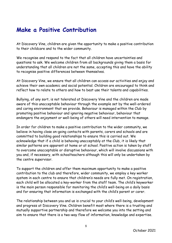# **Make a Positive Contribution**

At Discovery Vine, children are given the opportunity to make a positive contribution to their childcare and to the wider community.

We recognise and respond to the fact that all children have uncertainties and questions to ask. We welcome children from all backgrounds giving them a basis for understanding that all children are not the same, accepting this and have the ability to recognise positive differences between themselves.

At Discovery Vine, we ensure that all children can access our activities and enjoy and achieve their own academic and social potential. Children are encouraged to think and reflect how to relate to others and how to best use their talents and capabilities.

Bullying, of any sort, is not tolerated at Discovery Vine and the children are made aware of this unacceptable behaviour through the example set by the well-ordered and caring environment that we provide. Behaviour is managed within the Club by promoting positive behaviour and ignoring negative behaviour, behaviour that endangers the enjoyment or well-being of others will need intervention to manage.

In order for children to make a positive contribution to the wider community, we believe in having close on-going contacts with parents, carers and schools and are committed to building good relationships to ensure this is carried out. We acknowledge that if a child is behaving unacceptably at the Club, it is likely that similar patterns are apparent at home or at school. Positive action is taken by staff to overcome unacceptable or disruptive behaviour, which will involve discussions with you and, if necessary, with schoolteachers although this will only be undertaken by the centre supervisor.

To support the children and offer them maximum opportunity to make a positive contribution to the club and therefore, wider community, we employ a key worker system in each centre to ensure that children's needs are fully met. On registration, each child will be allocated a key-worker from the staff team. The child's keyworker is the main person responsible for monitoring the child's well-being on a daily basis and for ensuring that information is exchanged with the child's parent or carer.

The relationship between you and us is crucial to your child's well-being, development and progress at Discovery Vine. Children benefit most where there is a trusting and mutually supportive partnership and therefore we welcome you into the setting and aim to ensure that there is a two-way flow of information, knowledge and expertise.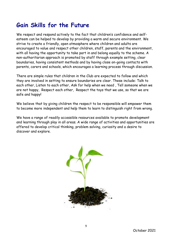# **Gain Skills for the Future**

We respect and respond actively to the fact that children's confidence and selfesteem can be helped to develop by providing a warm and secure environment. We strive to create a friendly, open atmosphere where children and adults are encouraged to value and respect other children, staff, parents and the environment, with all having the opportunity to take part in and belong equally to the scheme. A non-authoritarian approach is promoted by staff through example setting, clear boundaries, having consistent methods and by having close on-going contacts with parents, carers and schools, which encourages a learning process through discussion.

There are simple rules that children in the Club are expected to follow and which they are involved in setting to ensure boundaries are clear. These include: Talk to each other, Listen to each other, Ask for help when we need , Tell someone when we are not happy, Respect each other, Respect the toys that we use, so that we are safe and happy!

We believe that by giving children the respect to be responsible will empower them to become more independent and help them to learn to distinguish right from wrong.

We have a range of readily accessible resources available to promote development and learning through play in all areas. A wide range of activities and opportunities are offered to develop critical thinking, problem solving, curiosity and a desire to discover and explore.

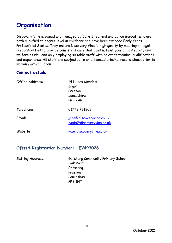# **Organisation**

Discovery Vine is owned and managed by Jane Shepherd and Lynda Garbutt who are both qualified to degree level in childcare and have been awarded Early Years Professional Status. They ensure Discovery Vine is high quality by meeting all legal responsibilities to provide consistent care that does not put your child's safety and welfare at risk and only employing suitable staff with relevant training, qualifications and experience. All staff are subjected to an enhanced criminal record check prior to working with children.

## **Contact details:**

| Office Address: | 14 Dukes Meadow<br>Ingol<br>Preston<br>Lancashire<br>PR2 7AR |
|-----------------|--------------------------------------------------------------|
| Telephone:      | 01772 731808                                                 |
| Email:          | <u>jane@discoveryvine.co.uk</u><br>Iynda@discoveryvine.co.uk |
| Website:        | www.discoveryvine.co.uk                                      |

## **Ofsted Registration Number: EY493026**

| Setting Address: | <b>Garstang Community Primary School</b> |
|------------------|------------------------------------------|
|                  | Oak Road                                 |
|                  | Garstang                                 |
|                  | Preston                                  |
|                  | Lancashire                               |
|                  | PR3 1HT                                  |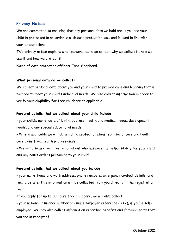## **Privacy Notice**

We are committed to ensuring that any personal data we hold about you and your child is protected in accordance with data protection laws and is used in line with your expectations.

This privacy notice explains what personal data we collect, why we collect it, how we use it and how we protect it.

Name of data protection officer: **Jane Shepherd** 

#### **What personal data do we collect?**

We collect personal data about you and your child to provide care and learning that is tailored to meet your child's individual needs. We also collect information in order to verify your eligibility for free childcare as applicable.

#### **Personal details that we collect about your child include:**

- your child's name, date of birth, address, health and medical needs, development needs, and any special educational needs.

- Where applicable we will obtain child protection plans from social care and health care plans from health professionals.

- We will also ask for information about who has parental responsibility for your child and any court orders pertaining to your child.

#### **Personal details that we collect about you include:**

- your name, home and work address, phone numbers, emergency contact details, and family details. This information will be collected from you directly in the registration form.

If you apply for up to 30 hours free childcare, we will also collect:

- your national insurance number or unique taxpayer reference (UTR), if you're selfemployed. We may also collect information regarding benefits and family credits that you are in receipt of.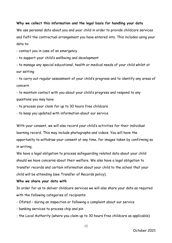#### **Why we collect this information and the legal basis for handling your data**

We use personal data about you and your child in order to provide childcare services and fulfil the contractual arrangement you have entered into. This includes using your data to:

- contact you in case of an emergency

- to support your child's wellbeing and development

- to manage any special educational, health or medical needs of your child whilst at our setting

- to carry out regular assessment of your child's progress and to identify any areas of concern

- to maintain contact with you about your child's progress and respond to any questions you may have

- to process your claim for up to 30 hours free childcare

- to keep you updated with information about our service

With your consent, we will also record your child's activities for their individual learning record. This may include photographs and videos. You will have the opportunity to withdraw your consent at any time, for images taken by confirming so in writing.

We have a legal obligation to process safeguarding related data about your child should we have concerns about their welfare. We also have a legal obligation to transfer records and certain information about your child to the school that your child will be attending (see Transfer of Records policy).

#### **Who we share your data with**

In order for us to deliver childcare services we will also share your data as required with the following categories of recipients:

- Ofsted during an inspection or following a complaint about our service
- banking services to process chip and pin
- the Local Authority (where you claim up to 30 hours free childcare as applicable)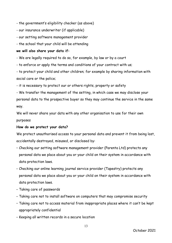- the government's eligibility checker (as above)

- our insurance underwriter (if applicable)
- our setting software management provider
- the school that your child will be attending

#### **we will also share your data if:**

- We are legally required to do so, for example, by law or by a court

- to enforce or apply the terms and conditions of your contract with us;

- to protect your child and other children; for example by sharing information with social care or the police;

- it is necessary to protect our or others rights, property or safety

- We transfer the management of the setting, in which case we may disclose your personal data to the prospective buyer so they may continue the service in the same way.

We will never share your data with any other organisation to use for their own purposes

#### **How do we protect your data?**

We protect unauthorised access to your personal data and prevent it from being lost, accidentally destroyed, misused, or disclosed by:

- Checking our setting software management provider (Parenta Ltd) protects any personal data we place about you or your child on their system in accordance with data protection laws.
- Checking our online learning journal service provider (Tapestry) protects any personal data we place about you or your child on their system in accordance with data protection laws.
- Taking care of passwords
- Taking care not to install software on computers that may compromise security
- Taking care not to access material from inappropriate places where it can't be kept appropriately confidential
- Keeping all written records in a secure location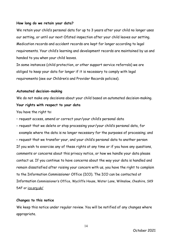#### **How long do we retain your data?**

We retain your child's personal data for up to 3 years after your child no longer uses our setting, or until our next Ofsted inspection after your child leaves our setting. Medication records and accident records are kept for longer according to legal requirements. Your child's learning and development records are maintained by us and handed to you when your child leaves.

In some instances (child protection, or other support service referrals) we are obliged to keep your data for longer if it is necessary to comply with legal requirements (see our Children's and Provider Records policies).

#### **Automated decision-making**

We do not make any decisions about your child based on automated decision-making.

#### **Your rights with respect to your data**

You have the right to:

• request access, amend or correct your/your child's personal data

• request that we delete or stop processing your/your child's personal data, for example where the data is no longer necessary for the purposes of processing; and • request that we transfer your, and your child's personal data to another person If you wish to exercise any of these rights at any time or if you have any questions, comments or concerns about this privacy notice, or how we handle your data please contact us. If you continue to have concerns about the way your data is handled and remain dissatisfied after raising your concern with us, you have the right to complain to the Information Commissioner Office (ICO). The ICO can be contacted at Information Commissioner's Office, Wycliffe House, Water Lane, Wilmslow, Cheshire, SK9 5AF or [ico.org.uk/](https://ico.org.uk/)

#### **Changes to this notice**

We keep this notice under regular review. You will be notified of any changes where appropriate.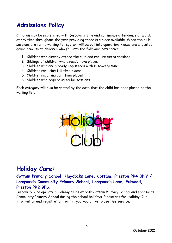# **Admissions Policy**

Children may be registered with Discovery Vine and commence attendance at a club at any time throughout the year providing there is a place available. When the club sessions are full, a waiting list system will be put into operation. Places are allocated, giving priority to children who fall into the following categories:

- 1. Children who already attend the club and require extra sessions
- 2. Siblings of children who already have places
- 3. Children who are already registered with Discovery Vine
- 4. Children requiring full time places
- 5. Children requiring part time places
- 6. Children who require irregular sessions

Each category will also be sorted by the date that the child has been placed on the waiting list.



## **Holiday Care:**

**Cottam Primary School, Haydocks Lane, Cottam, Preston PR4 0NY / Longsands Community Primary School, Longsands Lane, Fulwood, Preston PR2 9PS.** 

Discovery Vine operate a Holiday Clubs at both Cottam Primary School and Longsands Community Primary School during the school holidays. Please ask for Holiday Club information and registration form if you would like to use this service.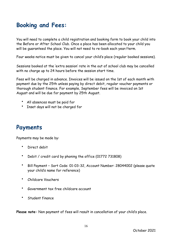# **Booking and Fees:**

You will need to complete a child registration and booking form to book your child into the Before or After School Club. Once a place has been allocated to your child you will be guaranteed the place. You will not need to re-book each year/term.

Four weeks notice must be given to cancel your child's place (regular booked sessions).

Sessions booked at the 'extra session' rate in the out of school club may be cancelled with no charge up to 24 hours before the session start time.

Fees will be charged in advance. Invoices will be issued on the 1st of each month with payment due by the 25th unless paying by direct debit, regular voucher payments or thorough student finance. For example, September fees will be invoiced on 1st August and will be due for payment by 25th August.

- All absences must be paid for
- Inset days will not be charged for

## **Payments**

Payments may be made by:

- Direct debit
- Debit / credit card by phoning the office (01772 731808)
- Bill Payment Sort Code: 01-03-32, Account Number: 28044002 (please quote your child's name for reference)
- Childcare Vouchers
- Government tax free childcare account
- Student finance

**Please note:** Non payment of fees will result in cancellation of your child's place.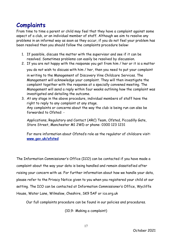## **Complaints**

From time to time a parent or child may feel that they have a complaint against some aspect of a club, or an individual member of staff. Although we aim to resolve any problems in an informal way as soon as they occur, if you do not feel your problem has been resolved then you should follow the complaints procedure below:

- 1. If possible, discuss the matter with the supervisor and see if it can be resolved. Sometimes problems can easily be resolved by discussion.
- 2. If you are not happy with the response you get from him / her or it is a matter you do not wish to discuss with him / her, then you need to put your complaint

in writing to the Management of Discovery Vine Childcare Services. The Management will acknowledge your complaint. They will then investigate the complaint together with the response at a specially convened meeting. The Management will send a reply within four weeks outlining how the complaint was investigated and detailing the outcome.

3. At any stage in the above procedure, individual members of staff have the right to reply to any complaint at any stage. Any complaints or concerns about the way the club is being run can also be forwarded to Ofsted: -

Applications, Regulatory and Contact (ARC) Team, Ofsted, Piccadilly Gate, Store Street, Manchester M1 2WD or phone: 0300 123 1231

For more information about Ofsted's role as the regulator of childcare visit: **[www.gov.uk/ofsted](http://www.gov.uk/ofsted)**

The Information Commissioner's Office (ICO) can be contacted if you have made a complaint about the way your data is being handled and remain dissatisfied after raising your concern with us. For further information about how we handle your data, please refer to the Privacy Notice given to you when you registered your child at our setting. The ICO can be contacted at Information Commissioner's Office, Wycliffe House, Water Lane, Wilmslow, Cheshire, SK9 5AF or ico.org.uk

Our full complaints procedure can be found in our policies and procedures.

(10.9- Making a complaint)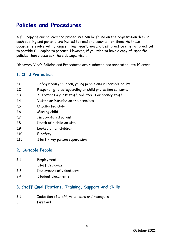# **Policies and Procedures**

A full copy of our policies and procedures can be found on the registration desk in each setting and parents are invited to read and comment on them. As these documents evolve with changes in law, legislation and best practice it is not practical to provide full copies to parents. However, if you wish to have a copy of specific policies then please ask the club supervisor:

Discovery Vine's Policies and Procedures are numbered and separated into 10 areas:

## **1. Child Protection**

- 1.1 Safeguarding children, young people and vulnerable adults
- 1.2 Responding to safeguarding or child protection concerns
- 1.3 Allegations against staff, volunteers or agency staff
- 1.4 Visitor or intruder on the premises
- 1.5 Uncollected child
- 1.6 Missing child
- 1.7 Incapacitated parent
- 1.8 Death of a child on-site
- 1.9 Looked after children
- 1.10 E-safety
- 1.11 Staff / key person supervision

### **2. Suitable People**

- 2.1 Employment
- 2.2 Staff deployment
- 2.3 Deployment of volunteers
- 2.4 Student placements

## 3. **Staff Qualifications, Training, Support and Skills**

- 3.1 Induction of staff, volunteers and managers
- 3.2 First aid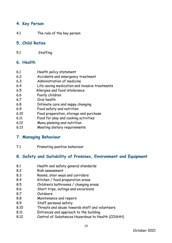## **4. Key Person**

4.1 The role of the key person

### **5. Child Ratios**

5.1 Staffing

## **6. Health**

- 6.1 Health policy statement
- 6.2 Accidents and emergency treatment
- 6.3 Administration of medicine
- 6.4 Life-saving medication and invasive treatments
- 6.5 Allergies and food intolerance
- 6.6 Poorly children
- 6.7 Oral health
- 6.8 Intimate care and nappy changing
- 6.9 Food safety and nutrition
- 6.10 Food preparation, storage and purchase
- 6.11 Food for play and cooking activities
- 6.12 Menu planning and nutrition
- 6.13 Meeting dietary requirements

### **7. Managing Behaviour**

7.1 Promoting positive behaviour

## **8. Safety and Suitability of Premises, Environment and Equipment**

- 8.1 Health and safety general standards
- 8.2 Risk assessment
- 8.3 Rooms, stair ways and corridors
- 8.4 Kitchen / food preparation areas
- 8.5 Children's bathrooms / changing areas
- 8.6 Short trips, outings and excursions
- 8.7 Outdoors
- 8.8 Maintenance and repairs
- 8.9 Staff personal safety
- 8.10 Threats and abuse towards staff and volunteers
- 8.11 Entrances and approach to the building
- 8.12 Control of Substances Hazardous to Health (COSHH)